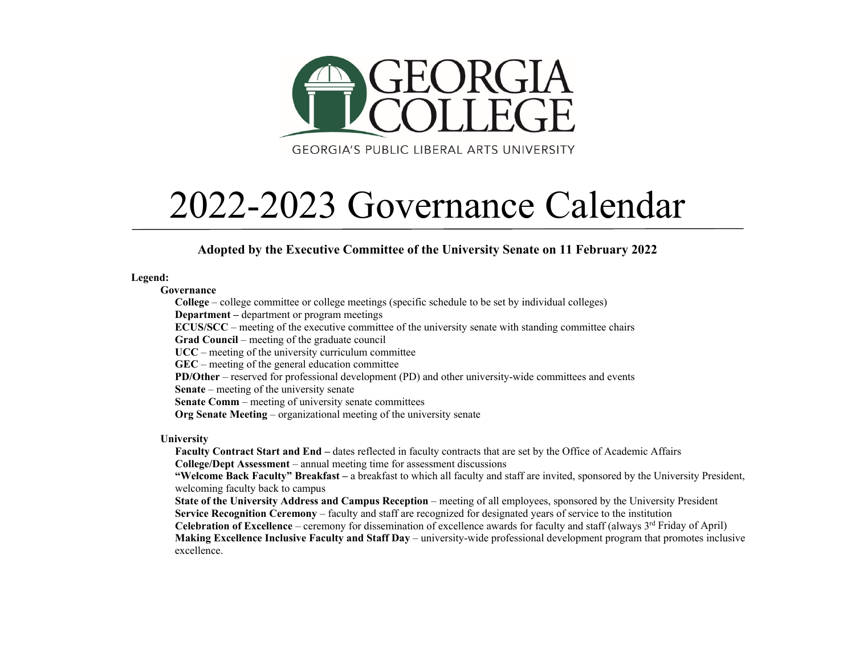

## 2022-2023 Governance Calendar

**Adopted by the Executive Committee of the University Senate on 11 February 2022**

**Legend:**

**Governance**

**College** – college committee or college meetings (specific schedule to be set by individual colleges) **Department –** department or program meetings **ECUS/SCC** – meeting of the executive committee of the university senate with standing committee chairs **Grad Council** – meeting of the graduate council

**UCC** – meeting of the university curriculum committee

**GEC** – meeting of the general education committee

**PD/Other** – reserved for professional development (PD) and other university-wide committees and events

**Senate** – meeting of the university senate

**Senate Comm** – meeting of university senate committees

**Org Senate Meeting** – organizational meeting of the university senate

**University**

**Faculty Contract Start and End –** dates reflected in faculty contracts that are set by the Office of Academic Affairs **College/Dept Assessment** – annual meeting time for assessment discussions

**"Welcome Back Faculty" Breakfast –** a breakfast to which all faculty and staff are invited, sponsored by the University President, welcoming faculty back to campus

**State of the University Address and Campus Reception** – meeting of all employees, sponsored by the University President **Service Recognition Ceremony** – faculty and staff are recognized for designated years of service to the institution **Celebration of Excellence** – ceremony for dissemination of excellence awards for faculty and staff (always 3<sup>rd</sup> Friday of April)

**Making Excellence Inclusive Faculty and Staff Day** – university-wide professional development program that promotes inclusive excellence.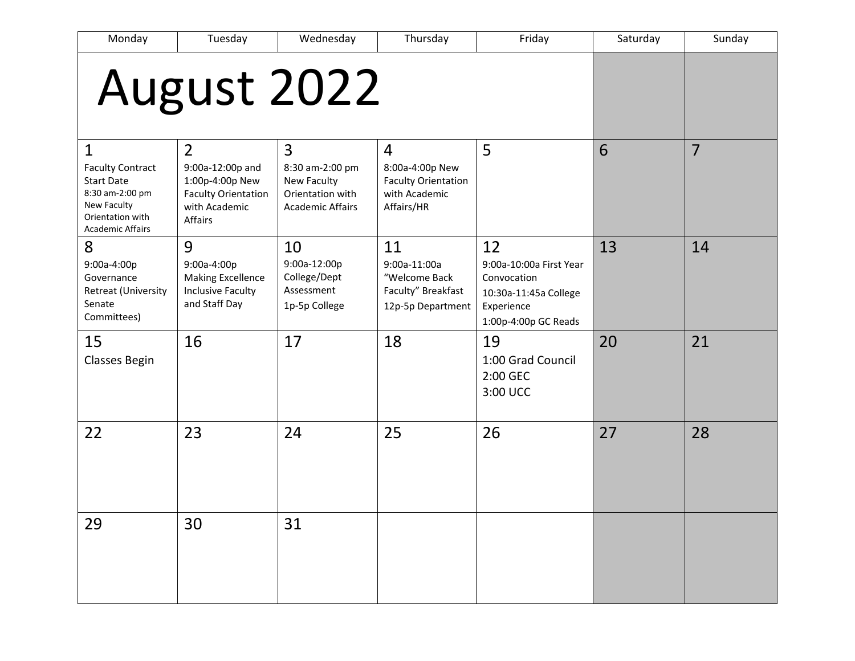| Monday                                                                                                                                        | Tuesday                                                                                                         | Wednesday                                                                          | Thursday                                                                                       | Friday                                                                                                      | Saturday | Sunday         |
|-----------------------------------------------------------------------------------------------------------------------------------------------|-----------------------------------------------------------------------------------------------------------------|------------------------------------------------------------------------------------|------------------------------------------------------------------------------------------------|-------------------------------------------------------------------------------------------------------------|----------|----------------|
|                                                                                                                                               | August 2022                                                                                                     |                                                                                    |                                                                                                |                                                                                                             |          |                |
| $\mathbf{1}$<br><b>Faculty Contract</b><br><b>Start Date</b><br>8:30 am-2:00 pm<br>New Faculty<br>Orientation with<br><b>Academic Affairs</b> | $\overline{2}$<br>9:00a-12:00p and<br>1:00p-4:00p New<br><b>Faculty Orientation</b><br>with Academic<br>Affairs | 3<br>8:30 am-2:00 pm<br>New Faculty<br>Orientation with<br><b>Academic Affairs</b> | $\overline{4}$<br>8:00a-4:00p New<br><b>Faculty Orientation</b><br>with Academic<br>Affairs/HR | 5                                                                                                           | 6        | $\overline{7}$ |
| 8<br>9:00a-4:00p<br>Governance<br>Retreat (University<br>Senate<br>Committees)                                                                | 9<br>9:00a-4:00p<br><b>Making Excellence</b><br><b>Inclusive Faculty</b><br>and Staff Day                       | 10<br>9:00a-12:00p<br>College/Dept<br>Assessment<br>1p-5p College                  | 11<br>9:00a-11:00a<br>"Welcome Back<br>Faculty" Breakfast<br>12p-5p Department                 | 12<br>9:00a-10:00a First Year<br>Convocation<br>10:30a-11:45a College<br>Experience<br>1:00p-4:00p GC Reads | 13       | 14             |
| 15<br><b>Classes Begin</b>                                                                                                                    | 16                                                                                                              | 17                                                                                 | 18                                                                                             | 19<br>1:00 Grad Council<br>2:00 GEC<br>3:00 UCC                                                             | 20       | 21             |
| 22                                                                                                                                            | 23                                                                                                              | 24                                                                                 | 25                                                                                             | 26                                                                                                          | 27       | 28             |
| 29                                                                                                                                            | 30                                                                                                              | 31                                                                                 |                                                                                                |                                                                                                             |          |                |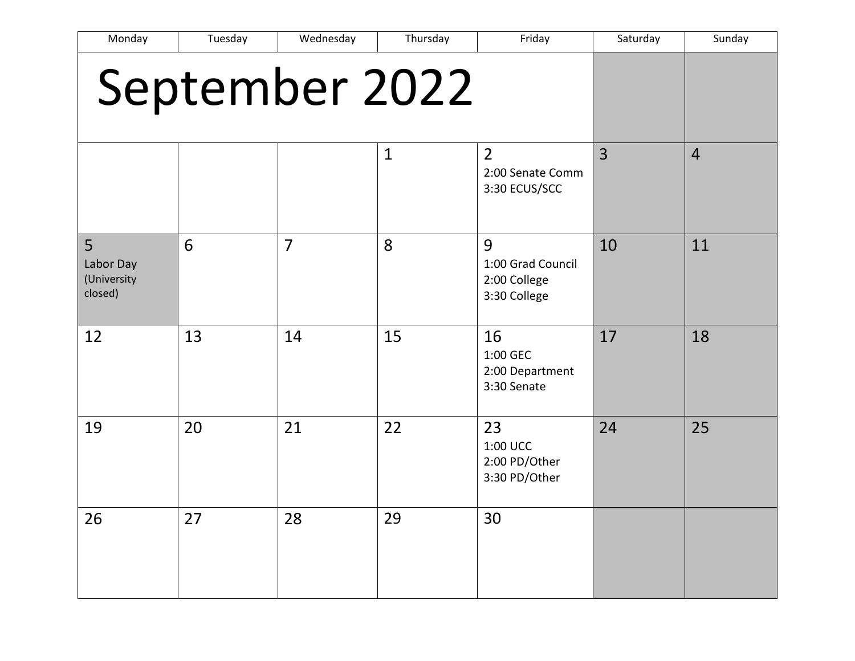| Monday                                   | Tuesday | Wednesday      | Thursday     | Friday                                                 | Saturday       | Sunday         |
|------------------------------------------|---------|----------------|--------------|--------------------------------------------------------|----------------|----------------|
| September 2022                           |         |                |              |                                                        |                |                |
|                                          |         |                | $\mathbf{1}$ | $\overline{2}$<br>2:00 Senate Comm<br>3:30 ECUS/SCC    | $\overline{3}$ | $\overline{4}$ |
| 5<br>Labor Day<br>(University<br>closed) | 6       | $\overline{7}$ | 8            | 9<br>1:00 Grad Council<br>2:00 College<br>3:30 College | 10             | 11             |
| 12                                       | 13      | 14             | 15           | 16<br>1:00 GEC<br>2:00 Department<br>3:30 Senate       | 17             | 18             |
| 19                                       | 20      | 21             | 22           | 23<br>1:00 UCC<br>2:00 PD/Other<br>3:30 PD/Other       | 24             | 25             |
| 26                                       | 27      | 28             | 29           | 30                                                     |                |                |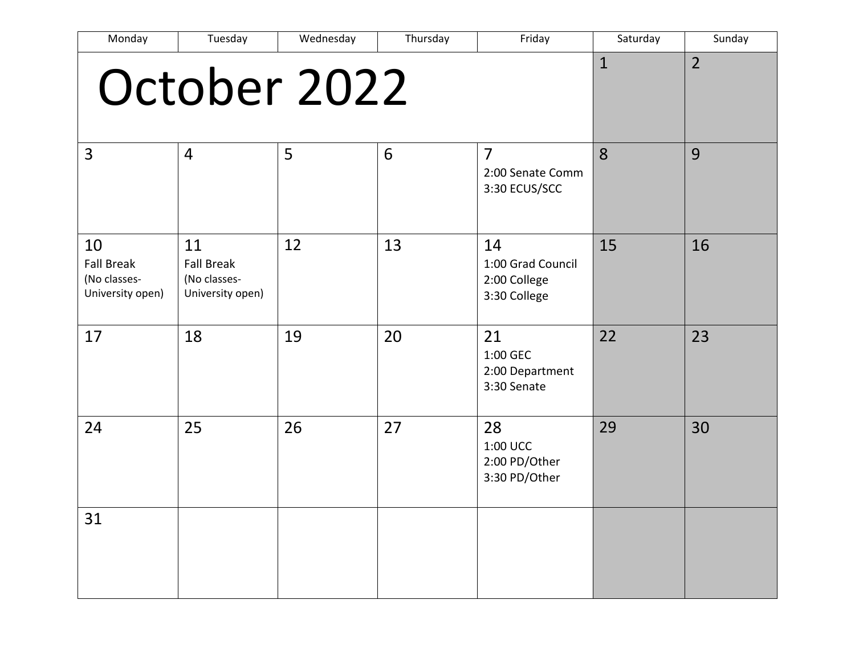| Monday                                                      | Tuesday                                                     | Wednesday | Thursday | Friday                                                  | Saturday     | Sunday         |
|-------------------------------------------------------------|-------------------------------------------------------------|-----------|----------|---------------------------------------------------------|--------------|----------------|
|                                                             | October 2022                                                |           |          |                                                         | $\mathbf{1}$ | $\overline{2}$ |
| $\overline{3}$                                              | $\overline{4}$                                              | 5         | 6        | $\overline{7}$<br>2:00 Senate Comm<br>3:30 ECUS/SCC     | 8            | 9              |
| 10<br><b>Fall Break</b><br>(No classes-<br>University open) | 11<br><b>Fall Break</b><br>(No classes-<br>University open) | 12        | 13       | 14<br>1:00 Grad Council<br>2:00 College<br>3:30 College | 15           | 16             |
| 17                                                          | 18                                                          | 19        | 20       | 21<br>1:00 GEC<br>2:00 Department<br>3:30 Senate        | 22           | 23             |
| 24                                                          | 25                                                          | 26        | 27       | 28<br>1:00 UCC<br>2:00 PD/Other<br>3:30 PD/Other        | 29           | 30             |
| 31                                                          |                                                             |           |          |                                                         |              |                |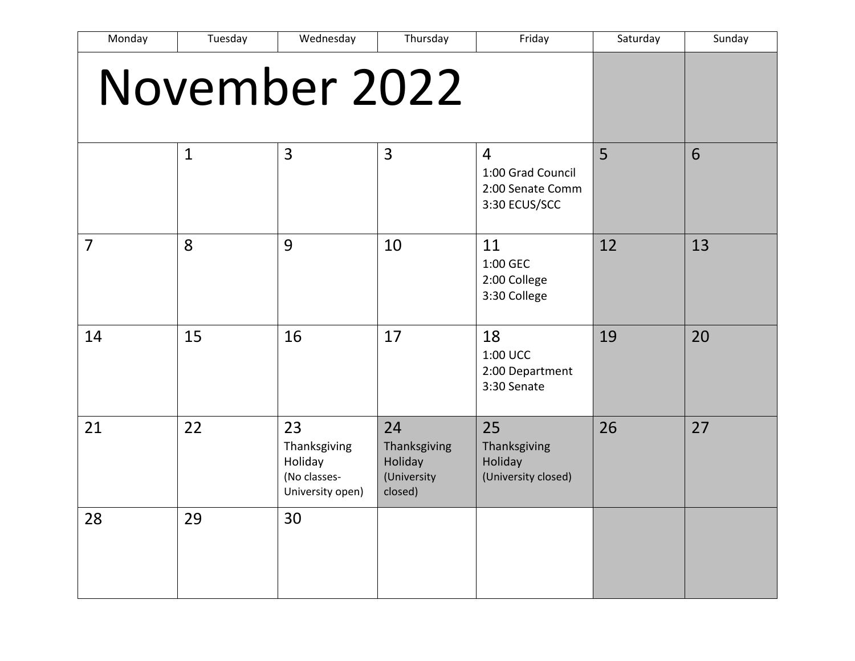| Monday         | Tuesday       | Wednesday                                                         | Thursday                                                | Friday                                                                   | Saturday | Sunday |
|----------------|---------------|-------------------------------------------------------------------|---------------------------------------------------------|--------------------------------------------------------------------------|----------|--------|
|                | November 2022 |                                                                   |                                                         |                                                                          |          |        |
|                | $\mathbf{1}$  | 3                                                                 | 3                                                       | $\overline{4}$<br>1:00 Grad Council<br>2:00 Senate Comm<br>3:30 ECUS/SCC | 5        | 6      |
| $\overline{7}$ | 8             | 9                                                                 | 10                                                      | 11<br>1:00 GEC<br>2:00 College<br>3:30 College                           | 12       | 13     |
| 14             | 15            | 16                                                                | 17                                                      | 18<br>1:00 UCC<br>2:00 Department<br>3:30 Senate                         | 19       | 20     |
| 21             | 22            | 23<br>Thanksgiving<br>Holiday<br>(No classes-<br>University open) | 24<br>Thanksgiving<br>Holiday<br>(University<br>closed) | 25<br>Thanksgiving<br>Holiday<br>(University closed)                     | 26       | 27     |
| 28             | 29            | 30                                                                |                                                         |                                                                          |          |        |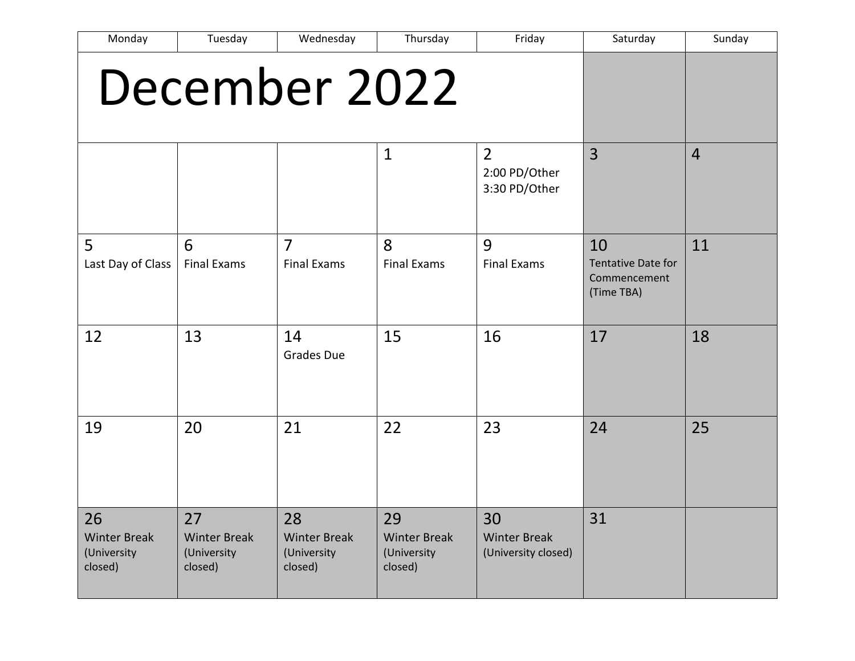| Monday                                              | Tuesday                                             | Wednesday                                           | Thursday                                            | Friday                                           | Saturday                                                      | Sunday         |
|-----------------------------------------------------|-----------------------------------------------------|-----------------------------------------------------|-----------------------------------------------------|--------------------------------------------------|---------------------------------------------------------------|----------------|
|                                                     | December 2022                                       |                                                     |                                                     |                                                  |                                                               |                |
|                                                     |                                                     |                                                     | $\mathbf{1}$                                        | $\overline{2}$<br>2:00 PD/Other<br>3:30 PD/Other | 3                                                             | $\overline{4}$ |
| 5<br>Last Day of Class                              | 6<br><b>Final Exams</b>                             | $\overline{7}$<br><b>Final Exams</b>                | 8<br><b>Final Exams</b>                             | 9<br><b>Final Exams</b>                          | 10<br><b>Tentative Date for</b><br>Commencement<br>(Time TBA) | 11             |
| 12                                                  | 13                                                  | 14<br><b>Grades Due</b>                             | 15                                                  | 16                                               | 17                                                            | 18             |
| 19                                                  | 20                                                  | 21                                                  | 22                                                  | 23                                               | 24                                                            | 25             |
| 26<br><b>Winter Break</b><br>(University<br>closed) | 27<br><b>Winter Break</b><br>(University<br>closed) | 28<br><b>Winter Break</b><br>(University<br>closed) | 29<br><b>Winter Break</b><br>(University<br>closed) | 30<br><b>Winter Break</b><br>(University closed) | 31                                                            |                |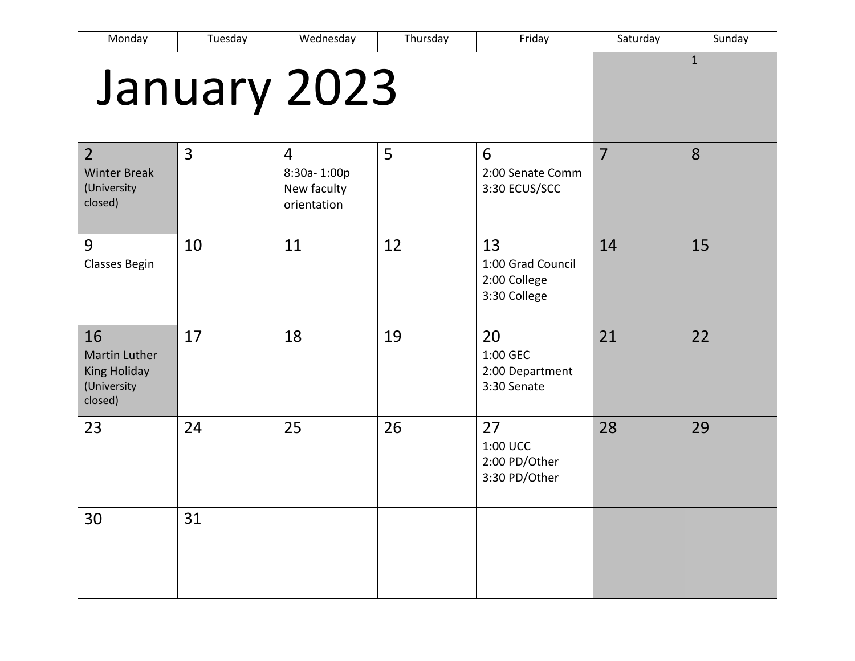| Monday                                                                      | Tuesday | Wednesday                                                   | Thursday | Friday                                                  | Saturday       | Sunday       |
|-----------------------------------------------------------------------------|---------|-------------------------------------------------------------|----------|---------------------------------------------------------|----------------|--------------|
|                                                                             |         | January 2023                                                |          |                                                         |                | $\mathbf{1}$ |
| $\overline{2}$<br><b>Winter Break</b><br>(University<br>closed)             | 3       | $\overline{4}$<br>8:30a-1:00p<br>New faculty<br>orientation | 5        | 6<br>2:00 Senate Comm<br>3:30 ECUS/SCC                  | $\overline{7}$ | 8            |
| 9<br>Classes Begin                                                          | 10      | 11                                                          | 12       | 13<br>1:00 Grad Council<br>2:00 College<br>3:30 College | 14             | 15           |
| 16<br><b>Martin Luther</b><br><b>King Holiday</b><br>(University<br>closed) | 17      | 18                                                          | 19       | 20<br>1:00 GEC<br>2:00 Department<br>3:30 Senate        | 21             | 22           |
| 23                                                                          | 24      | 25                                                          | 26       | 27<br>1:00 UCC<br>2:00 PD/Other<br>3:30 PD/Other        | 28             | 29           |
| 30                                                                          | 31      |                                                             |          |                                                         |                |              |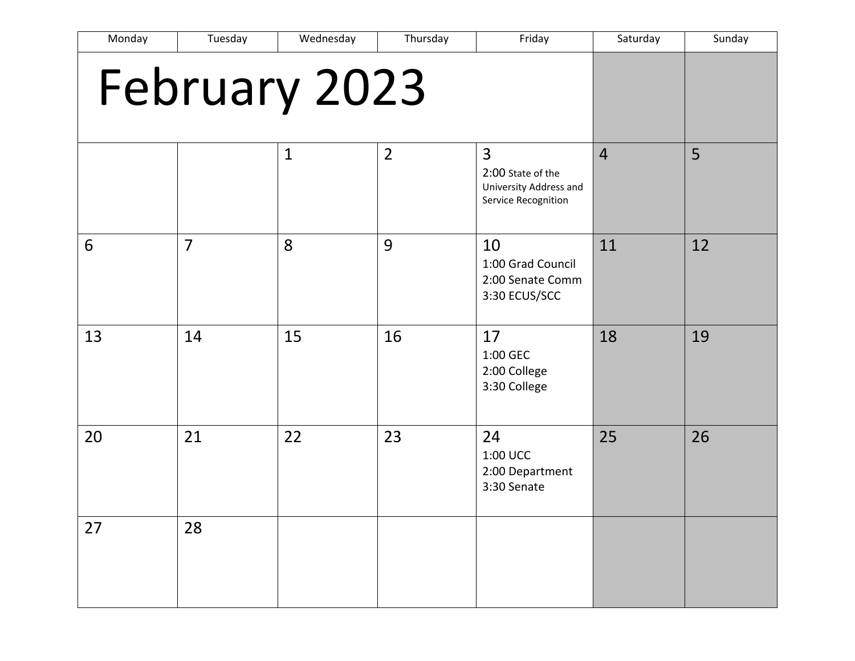| Monday        | Tuesday        | Wednesday    | Thursday       | Friday                                                                               | Saturday       | Sunday |
|---------------|----------------|--------------|----------------|--------------------------------------------------------------------------------------|----------------|--------|
| February 2023 |                |              |                |                                                                                      |                |        |
|               |                | $\mathbf{1}$ | $\overline{2}$ | $\overline{3}$<br>2:00 State of the<br>University Address and<br>Service Recognition | $\overline{4}$ | 5      |
| 6             | $\overline{7}$ | 8            | 9              | 10<br>1:00 Grad Council<br>2:00 Senate Comm<br>3:30 ECUS/SCC                         | 11             | 12     |
| 13            | 14             | 15           | 16             | 17<br>1:00 GEC<br>2:00 College<br>3:30 College                                       | 18             | 19     |
| 20            | 21             | 22           | 23             | 24<br>1:00 UCC<br>2:00 Department<br>3:30 Senate                                     | 25             | 26     |
| 27            | 28             |              |                |                                                                                      |                |        |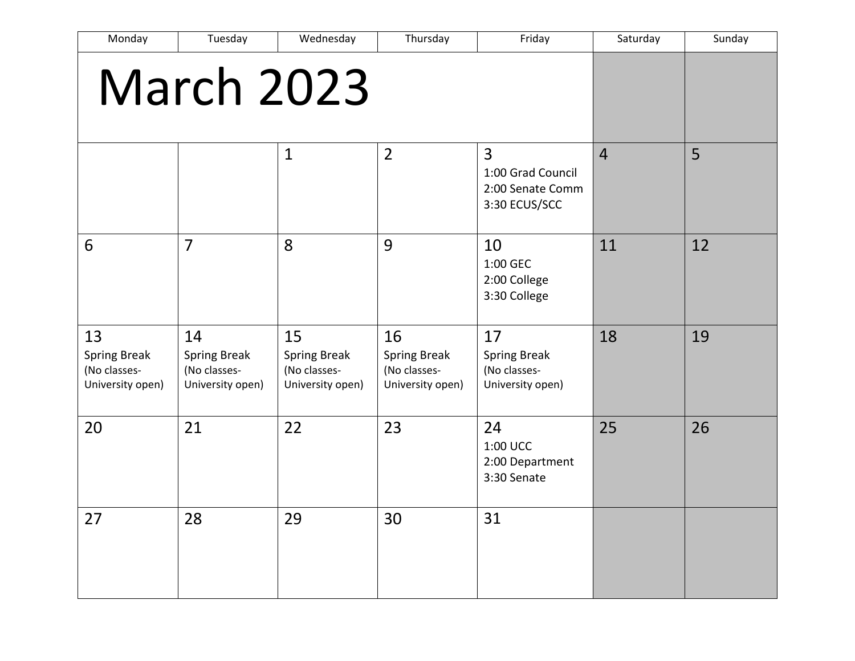| Monday                                                        | Tuesday                                                       | Wednesday                                                     | Thursday                                                      | Friday                                                                   | Saturday       | Sunday |
|---------------------------------------------------------------|---------------------------------------------------------------|---------------------------------------------------------------|---------------------------------------------------------------|--------------------------------------------------------------------------|----------------|--------|
| March 2023                                                    |                                                               |                                                               |                                                               |                                                                          |                |        |
|                                                               |                                                               | $\mathbf 1$                                                   | $\overline{2}$                                                | $\overline{3}$<br>1:00 Grad Council<br>2:00 Senate Comm<br>3:30 ECUS/SCC | $\overline{4}$ | 5      |
| 6                                                             | $\overline{7}$                                                | 8                                                             | 9                                                             | 10<br>1:00 GEC<br>2:00 College<br>3:30 College                           | 11             | 12     |
| 13<br><b>Spring Break</b><br>(No classes-<br>University open) | 14<br><b>Spring Break</b><br>(No classes-<br>University open) | 15<br><b>Spring Break</b><br>(No classes-<br>University open) | 16<br><b>Spring Break</b><br>(No classes-<br>University open) | 17<br><b>Spring Break</b><br>(No classes-<br>University open)            | 18             | 19     |
| 20                                                            | 21                                                            | 22                                                            | 23                                                            | 24<br>1:00 UCC<br>2:00 Department<br>3:30 Senate                         | 25             | 26     |
| 27                                                            | 28                                                            | 29                                                            | 30                                                            | 31                                                                       |                |        |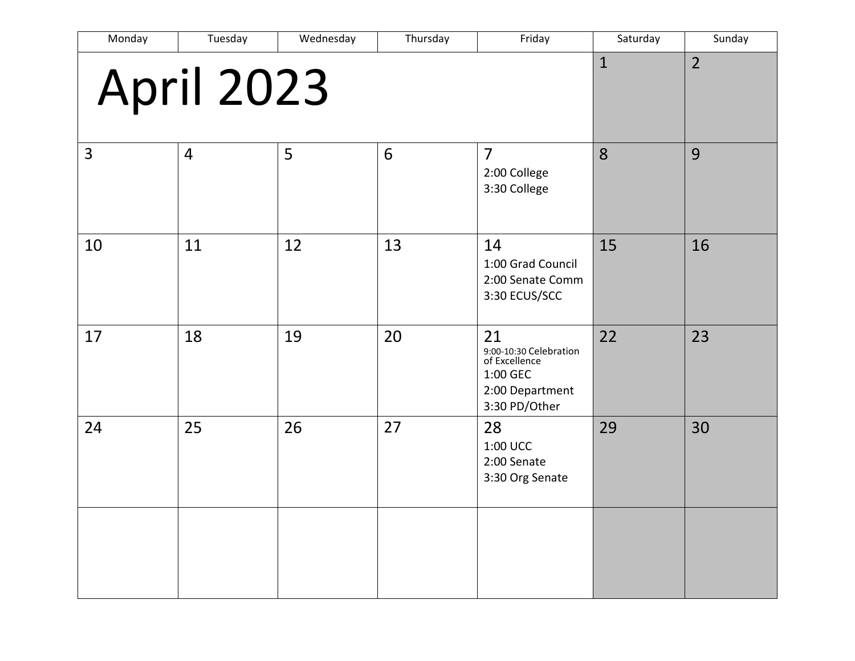| Monday | Tuesday           | Wednesday | Thursday | Friday                                                                                        | Saturday     | Sunday         |
|--------|-------------------|-----------|----------|-----------------------------------------------------------------------------------------------|--------------|----------------|
|        | <b>April 2023</b> |           |          |                                                                                               | $\mathbf{1}$ | $\overline{2}$ |
| 3      | $\overline{4}$    | 5         | 6        | $\overline{7}$<br>2:00 College<br>3:30 College                                                | 8            | 9              |
| 10     | 11                | 12        | 13       | 14<br>1:00 Grad Council<br>2:00 Senate Comm<br>3:30 ECUS/SCC                                  | 15           | 16             |
| 17     | 18                | 19        | 20       | 21<br>9:00-10:30 Celebration<br>of Excellence<br>1:00 GEC<br>2:00 Department<br>3:30 PD/Other | 22           | 23             |
| 24     | 25                | 26        | 27       | 28<br>1:00 UCC<br>2:00 Senate<br>3:30 Org Senate                                              | 29           | 30             |
|        |                   |           |          |                                                                                               |              |                |